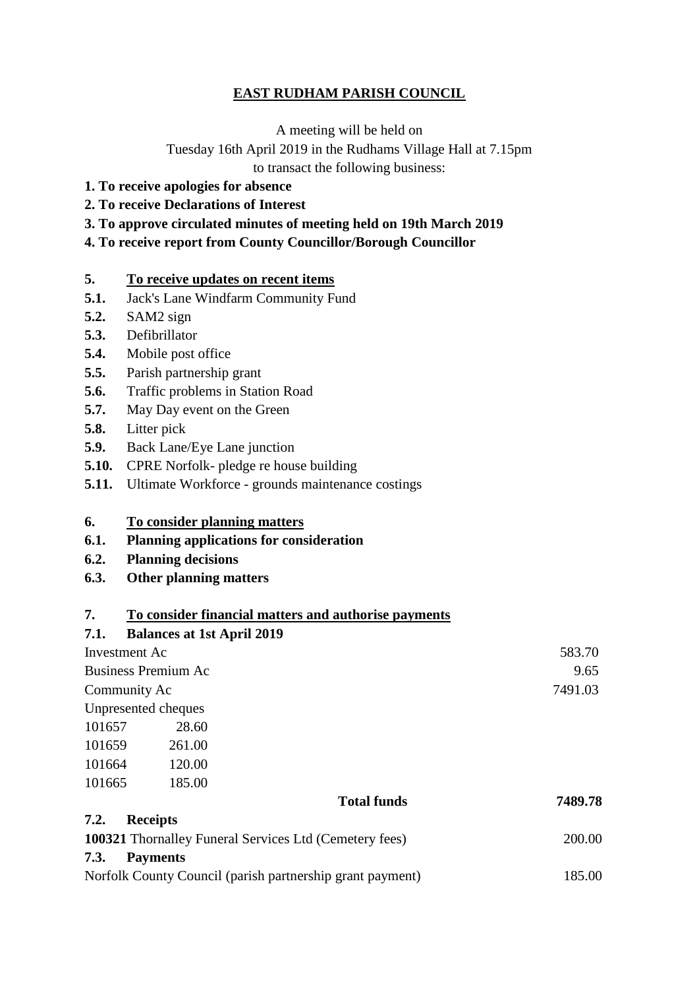## **EAST RUDHAM PARISH COUNCIL**

A meeting will be held on

Tuesday 16th April 2019 in the Rudhams Village Hall at 7.15pm

to transact the following business:

- **1. To receive apologies for absence**
- **2. To receive Declarations of Interest**
- **3. To approve circulated minutes of meeting held on 19th March 2019**
- **4. To receive report from County Councillor/Borough Councillor**

### **5. To receive updates on recent items**

- **5.1.** Jack's Lane Windfarm Community Fund
- **5.2.** SAM2 sign
- **5.3.** Defibrillator
- **5.4.** Mobile post office
- **5.5.** Parish partnership grant
- **5.6.** Traffic problems in Station Road
- **5.7.** May Day event on the Green
- **5.8.** Litter pick
- **5.9.** Back Lane/Eye Lane junction
- **5.10.** CPRE Norfolk- pledge re house building
- **5.11.** Ultimate Workforce grounds maintenance costings

### **6. To consider planning matters**

- **6.1. Planning applications for consideration**
- **6.2. Planning decisions**
- **6.3. Other planning matters**

### **7. To consider financial matters and authorise payments**

# **7.1. Balances at 1st April 2019** Investment Ac 583.70 Business Premium Ac 9.65 Community Ac 7491.03 Unpresented cheques 101657 28.60 101659 261.00 101664 120.00 101665 185.00 **Total funds 7489.78 7.2. Receipts 100321** Thornalley Funeral Services Ltd (Cemetery fees) 200.00 **7.3. Payments** Norfolk County Council (parish partnership grant payment) 185.00